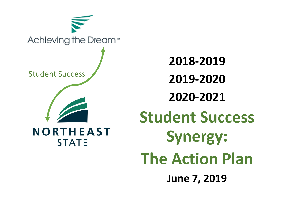

**2018-2019 2019-2020 2020-2021 Student Success Synergy: The Action Plan June 7, 2019**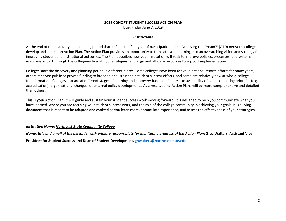#### **2018 COHORT STUDENT SUCCESS ACTION PLAN**

Due: Friday June 7, 2019

#### *Instructions*

At the end of the discovery and planning period that defines the first year of participation in the Achieving the Dream™ (ATD) network, colleges develop and submit an Action Plan. The Action Plan provides an opportunity to translate your learning into an overarching vision and strategy for improving student and institutional outcomes. The Plan describes how your institution will seek to improve policies, processes, and systems; maximize impact through the college-wide scaling of strategies; and align and allocate resources to support implementation.

Colleges start the discovery and planning period in different places. Some colleges have been active in national reform efforts for many years, others received public or private funding to broaden or sustain their student success efforts, and some are relatively new at whole-college transformation. Colleges also are at different stages of learning and discovery based on factors like availability of data, competing priorities (e.g., accreditation), organizational changes, or external policy developments. As a result, some Action Plans will be more comprehensive and detailed than others.

This is **your** Action Plan. It will guide and sustain your student success work moving forward. It is designed to help you communicate what you have learned, where you are focusing your student success work, and the role of the college community in achieving your goals. It is a living document that is meant to be adapted and evolved as you learn more, accumulate experience, and assess the effectiveness of your strategies.

### *Institution Name: Northeast State Community College*

*Name, title and email of the person(s) with primary responsibility for monitoring progress of the Action Plan:* **Greg Walters, Assistant Vice** 

**President for Student Success and Dean of Student Development, [gnwalters@northeaststate.edu](mailto:gnwalters@northeaststate.edu)**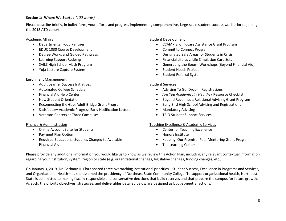## **Section 1: Where We Started** *(100 words)*

Please describe briefly, in bullet-form, your efforts and progress implementing comprehensive, large-scale student success work prior to joining the 2018 ATD cohort.

#### Academic Affairs

- Departmental Food Pantries
- EDUC 1030 Course Development
- Degree Works and Guided Pathways
- Learning Support Redesign
- SAILS High School Math Program
- Yuja Lecture Capture System

### Enrollment Management

- Adult Learner Success Initiatives
- Automated College Scheduler
- Financial Aid Help Center
- New Student Orientation
- Reconnecting the Gap: Adult Bridge Grant Program
- Satisfactory Academic Progress Early Notification Letters
- Veterans Centers at Three Campuses

## Finance & Administration

- Online Account Suite for Students
- Payment Plan Option
- Required Educational Supplies Charged to Available Financial Aid

## Student Development

- CCAMPIS: Childcare Assistance Grant Program
- Commit to Connect Program
- Designated Safe Areas for Students in Crisis
- Financial Literacy: Life Simulation Card Sets
- Generating the Boom! Workshops (Beyond Financial Aid)
- Student Needs Project
- Student Referral System

### Student Services

- Advising To Go: Drop-in Registrations
- *Are You Academically Healthy?* Resource Checklist
- Beyond Reconnect: Relational Advising Grant Program
- Early Bird High School Advising and Registrations
- Mandatory Advising
- TRiO Student Support Services

### Teaching Excellence & Academic Services

- Center for Teaching Excellence
- Honors Institute
- Keeping Our Promise: Peer Mentoring Grant Program
- The Learning Center

Please provide any additional information you would like us to know as we review this Action Plan, including any relevant contextual information regarding your institution, system, region or state (e.g. organizational changes, legislative changes, funding changes, etc.)

On January 3, 2019, Dr. Bethany H. Flora shared three overarching institutional priorities—Student Success, Excellence in Programs and Services, and Organizational Health—as she assumed the presidency of Northeast State Community College. To support organizational health, Northeast State is committed to making fiscally responsible and conservative decisions that build reserves and that prepare the campus for future growth. As such, the priority objectives, strategies, and deliverables detailed below are designed as budget-neutral actions.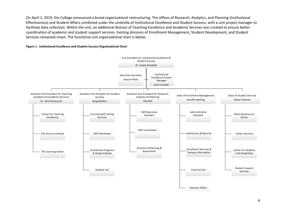On April 1, 2019, the College announced a broad organizational restructuring. The offices of Research, Analytics, and Planning (Institutional Effectiveness) and Student Affairs combined under the umbrella of Institutional Excellence and Student Success, with a unit project manager to facilitate data collection. Within the unit, an additional division of Teaching Excellence and Academic Services was created to ensure better coordination of academic and student support services. Existing divisions of Enrollment Management, Student Development, and Student Services remained intact. The functional unit organizational chart is below.

#### **Figure 1. Institutional Excellence and Student Success Organizational Chart**

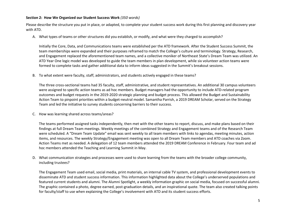### **Section 2: How We Organized our Student Success Work** *(350 words)*

Please describe the structure you put in place, or adapted, to complete your student success work during this first planning and discovery year with ATD.

A. What types of teams or other structures did you establish, or modify, and what were they charged to accomplish?

Initially the Core, Data, and Communications teams were established per the ATD framework. After the Student Success Summit, the team memberships were expanded and their purposes reframed to match the College's culture and terminology. Strategy, Research, and Engagement replaced the aforementioned team names, and a collective moniker of Northeast State's Dream Team was utilized. An ATD Year One logic model was developed to guide the team members in plan development, while six volunteer action teams were formed to complete tasks and gather additional data to inform ideas suggested in the Summit's breakout sessions.

B. To what extent were faculty, staff, administrators, and students actively engaged in these teams?

The three cross-sectional teams had 35 faculty, staff, administrative, and student representatives. An additional 30 campus volunteers were assigned to specific action teams as ad hoc members. Budget managers had the opportunity to include ATD-related program outcomes and budget requests in the 2019-2020 strategic planning and budget process. This allowed the Budget and Sustainability Action Team to pinpoint priorities within a budget-neutral model. Samantha Parrish, a 2019 DREAM Scholar, served on the Strategy Team and led the initiative to survey students concerning barriers to their success.

C. How was learning shared across teams/areas?

The teams performed assigned tasks independently, then met with the other teams to report, discuss, and make plans based on their findings at full Dream Team meetings. Weekly meetings of the combined Strategy and Engagement teams and of the Research Team were scheduled. A "Dream Team Update" email was sent weekly to all team members with links to agendas, meeting minutes, action items, and resources. The weekly Strategy/Engagement meeting was open to all Dream Team members and ATD coaches via Zoom. Action Teams met as needed. A delegation of 12 team members attended the 2019 DREAM Conference in February. Four team and ad hoc members attended the Teaching and Learning Summit in May.

D. What communication strategies and processes were used to share learning from the teams with the broader college community, including trustees?

The Engagement Team used email, social media, print materials, an internal cable TV system, and professional development events to disseminate ATD and student success information. This information highlighted data about the College's underserved populations and featured current students and alumni. The Alumni Spotlight, a weekly information graphic on social media, focused on successful alumni. The graphic contained a photo, degree earned, post-graduation details, and an inspirational quote. The team also created talking points for faculty/staff to use when explaining the College's involvement with ATD and its student success efforts.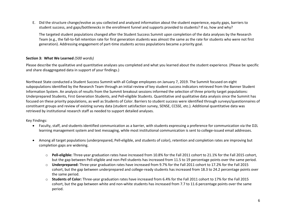E. Did the structure change/evolve as you collected and analyzed information about the student experience, equity gaps, barriers to student success, and gaps/bottlenecks in the enrollment funnel and supports provided to students? If so, how and why?

The targeted student populations changed after the Student Success Summit upon completion of the data analyses by the Research Team (e.g., the fall-to-fall retention rate for first generation students was almost the same as the rate for students who were not first generation). Addressing engagement of part-time students across populations became a priority goal.

## **Section 3: What We Learned** *(500 words)*

Please describe the qualitative and quantitative analyses you completed and what you learned about the student experience. (Please be specific and share disaggregated data in support of your findings.)

Northeast State conducted a Student Success Summit with all College employees on January 7, 2019. The Summit focused on eight subpopulations identified by the Research Team through an initial review of key student success indicators retrieved from the Banner Student Information System. An analysis of results from the Summit breakout sessions informed the selection of three priority target populations: Underprepared Students, First Generation Students, and Pell-eligible Students. Quantitative and qualitative data analysis since the Summit has focused on these priority populations, as well as Students of Color. Barriers to student success were identified through surveys/questionnaires of constituent groups and review of existing survey data (student satisfaction survey, SENSE, CCSSE, etc.). Additional quantitative data was retrieved by institutional research staff as needed to support detailed analyses.

## Key Findings:

- Faculty, staff, and students identified communication as a barrier, with students expressing a preference for communication via the D2L learning management system and text messaging, while most institutional communication is sent to college-issued email addresses.
- Among all target populations (underprepared, Pell-eligible, and students of color), retention and completion rates are improving but completion gaps are widening.
	- o **Pell-eligible:** Three-year graduation rates have increased from 10.8% for the Fall 2011 cohort to 21.1% for the Fall 2015 cohort, but the gap between Pell-eligible and non-Pell students has increased from 11.5 to 19 percentage points over the same period.
	- o **Underprepared:** Three-year graduation rates have increased from 9.7% for the Fall 2011 cohort to 17.2% for the Fall 2015 cohort, but the gap between underprepared and college-ready students has increased from 18.3 to 24.2 percentage points over the same period.
	- o **Students of Color:** Three-year graduation rates have increased from 6.4% for the Fall 2011 cohort to 17% for the Fall 2015 cohort, but the gap between white and non-white students has increased from 7.7 to 11.6 percentage points over the same period.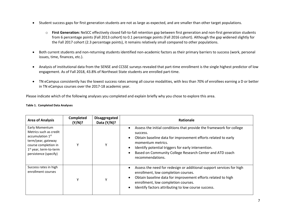- Student success gaps for first generation students are not as large as expected, and are smaller than other target populations.
	- o **First Generation:** NeSCC effectively closed fall-to-fall retention gap between first generation and non-first generation students from 6 percentage points (Fall 2013 cohort) to 0.1 percentage points (Fall 2016 cohort). Although the gap widened slightly for the Fall 2017 cohort (2.3 percentage points), it remains relatively small compared to other populations.
- Both current students and non-returning students identified non-academic factors as their primary barriers to success (work, personal issues, time, finances, etc.).
- Analysis of institutional data from the SENSE and CCSSE surveys revealed that part-time enrollment is the single highest predictor of low engagement. As of Fall 2018, 43.8% of Northeast State students are enrolled part-time.
- TN eCampus consistently has the lowest success rates among all course modalities, with less than 70% of enrollees earning a D or better in TN eCampus courses over the 2017-18 academic year.

Please indicate which of the following analyses you completed and explain briefly why you chose to explore this area.

|  | <b>Table 1. Completed Data Analyses</b> |  |  |
|--|-----------------------------------------|--|--|
|--|-----------------------------------------|--|--|

| <b>Area of Analysis</b>                                                                                                                                                               | Completed<br>(Y/N)? | Disaggregated<br>Data $(Y/N)$ ? | Rationale                                                                                                                                                                                                                                                                                                     |
|---------------------------------------------------------------------------------------------------------------------------------------------------------------------------------------|---------------------|---------------------------------|---------------------------------------------------------------------------------------------------------------------------------------------------------------------------------------------------------------------------------------------------------------------------------------------------------------|
| Early Momentum<br>Metrics such as credit<br>accumulation 1 <sup>st</sup><br>term/year, gateway<br>course completion in<br>1 <sup>st</sup> year, term-to-term<br>persistence (specify) |                     |                                 | Assess the initial conditions that provide the framework for college<br>success.<br>Obtain baseline data for improvement efforts related to early<br>momentum metrics.<br>Identify potential triggers for early intervention.<br>Based on Community College Research Center and ATD coach<br>recommendations. |
| Success rates in high<br>enrollment courses                                                                                                                                           | γ                   |                                 | Assess the need for redesign or additional support services for high<br>enrollment, low completion courses.<br>Obtain baseline data for improvement efforts related to high<br>enrollment, low completion courses.<br>Identify factors attributing to low course success.                                     |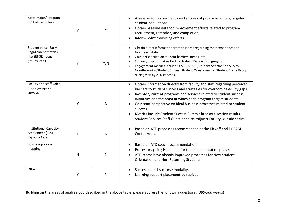| Meta-major/ Program<br>of Study selection                                               | Y | Y            | Assess selection frequency and success of programs among targeted<br>student populations.<br>Obtain baseline data for improvement efforts related to program<br>recruitment, retention, and completion.<br>Inform holistic advising efforts.                                                                                                                                                                                                                                                                                              |
|-----------------------------------------------------------------------------------------|---|--------------|-------------------------------------------------------------------------------------------------------------------------------------------------------------------------------------------------------------------------------------------------------------------------------------------------------------------------------------------------------------------------------------------------------------------------------------------------------------------------------------------------------------------------------------------|
| Student voice (Early<br><b>Engagement metrics</b><br>like SENSE, focus<br>groups, etc.) | Y | Y/N          | Obtain direct information from students regarding their experiences at<br>$\bullet$<br>Northeast State.<br>Gain perspective on student barriers, needs, etc.<br>Surveys/questionnaires tied to student IDs are disaggregated.<br>Engagement metrics include CCSSE, SENSE, Student Satisfaction Survey,<br>Non-Returning Student Survey, Student Questionnaire, Student Focus Group<br>during visit by ATD coaches.                                                                                                                        |
| Faculty and staff voice<br>(focus groups or<br>surveys)                                 | Y | N            | Obtain information directly from faculty and staff regarding perceived<br>$\bullet$<br>barriers to student success and strategies for overcoming equity gaps.<br>Inventory current programs and services related to student success<br>initiatives and the point at which each program targets students.<br>Gain staff perspective on ideal business processes related to student<br>success.<br>Metrics include Student Success Summit breakout session results,<br>Student Services Staff Questionnaire, Adjunct Faculty Questionnaire. |
| <b>Institutional Capacity</b><br>Assessment (ICAT);<br>Capacity Cafe                    | Υ | $\mathsf{N}$ | Based on ATD processes recommended at the Kickoff and DREAM<br>Conferences.                                                                                                                                                                                                                                                                                                                                                                                                                                                               |
| <b>Business process</b><br>mapping                                                      | N | N            | Based on ATD coach recommendation.<br>Process mapping is planned for the implementation phase.<br>ATD teams have already improved processes for New Student<br>Orientation and Non-Returning Students.                                                                                                                                                                                                                                                                                                                                    |
| Other                                                                                   | Υ | N            | Success rates by course modality.<br>Learning support placement by subject.                                                                                                                                                                                                                                                                                                                                                                                                                                                               |

Building on the areas of analysis you described in the above table, please address the following questions. (*300-500 words*)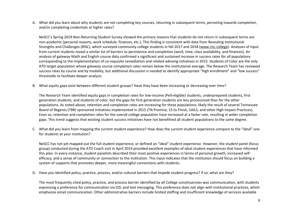A. What did you learn about why students are not completing key courses, returning in subsequent terms, persisting towards completion, and/or completing credentials at higher rates?

NeSCC's Spring 2019 Non-Returning Student Survey showed the primary reasons that students do not return in subsequent terms are non-academic (personal reasons, work schedule, finances, etc.). This finding is consistent with data from Revealing Institutional Strengths and Challenges (RISC), which surveyed community college students in fall 2017 and 2018 [\(www.risc.college\)](http://www.risc.college/). Analyses of input from current students reveal a similar list of barriers to persistence and completion (work, time, class availability, and finances). An analysis of gateway Math and English course data confirmed a significant and sustained increase in success rates for all populations corresponding to the implementation of co-requisite remediation and related advising initiatives in 2015. Students of Color are the only ATD target population whose gateway course completion rates remain below the institutional average. The Research Team has reviewed success rates by course and by modality, but additional discussion is needed to identify appropriate "high enrollment" and "low success" thresholds to facilitate deeper analysis.

B. What equity gaps exist between different student groups? Have they have been increasing or decreasing over time?

The Research Team identified equity gaps in completion rates for low-income (Pell-eligible) students, underprepared students, first generation students, and students of color, but the gaps for first generation students are less pronounced than for the other populations. As noted above, retention and completion rates are increasing for these populations, likely the result of several Tennessee Board of Regents (TBR) sponsored initiatives implemented in 2015 (TN Promise, 15 to Finish, SAILS, and other High Impact Practices). Even so, retention and completion rates for the overall college population have increased at a faster rate, resulting in wider completion gaps. This trend suggests that existing student success initiatives have not benefitted all student populations to the same degree.

C. What did you learn from mapping the current student experience? How does the current student experience compare to the "ideal" one for students at your institution?

NeSCC has not yet mapped out the full student experience, or defined an "ideal" student experience. However, the student panel (focus group) conducted during the ATD Coach visit in April 2019 provided excellent examples of ideal student experiences that have informed this plan. In every instance, student panelists described their most positive experiences in terms of personal growth, increased selfefficacy, and a sense of community or connection to the institution. This input indicates that the institution should focus on building a system of supports that promotes deeper, more meaningful connections with students.

D. Have you identified policy, practice, process, and/or cultural barriers that impede student progress? If so, what are they?

The most frequently cited policy, practice, and process barrier identified by all College constituencies was communication, with students expressing a preference for communication via D2L and text messaging. This preference does not align with institutional practices, which emphasize email communication. Other administrative barriers include limited staffing and insufficient knowledge of services available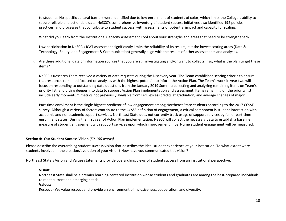to students. No specific cultural barriers were identified due to low enrollment of students of color, which limits the College's ability to secure reliable and actionable data. NeSCC's comprehensive inventory of student success initiatives also identified 192 policies, practices, and processes that contribute to student success, with assessments of potential impact and capacity for scaling.

E. What did you learn from the Institutional Capacity Assessment Tool about your strengths and areas that need to be strengthened?

Low participation in NeSCC's ICAT assessment significantly limits the reliability of its results, but the lowest scoring areas (Data & Technology, Equity, and Engagement & Communication) generally align with the results of other assessments and analyses.

F. Are there additional data or information sources that you are still investigating and/or want to collect? If so, what is the plan to get these items?

NeSCC's Research Team received a variety of data requests during the Discovery year. The Team established scoring criteria to ensure that resources remained focused on analyses with the highest potential to inform the Action Plan. The Team's work in year two will focus on responding to outstanding data questions from the January 2019 Summit; collecting and analyzing remaining items on Team's priority list; and diving deeper into data to support Action Plan implementation and assessment. Items remaining on the priority list include early momentum metrics not previously available from D2L, excess credits at graduation, and average changes of major.

Part-time enrollment is the single highest predictor of low engagement among Northeast State students according to the 2017 CCSSE survey. Although a variety of factors contribute to the CCSSE definition of engagement, a critical component is student interaction with academic and nonacademic support services. Northeast State does not currently track usage of support services by full or part-time enrollment status. During the first year of Action Plan implementation, NeSCC will collect the necessary data to establish a baseline measure of student engagement with support services upon which improvement in part-time student engagement will be measured.

## **Section 4: Our Student Success Vision** (*50-100 words)*

Please describe the overarching student success vision that describes the ideal student experience at your institution. To what extent were students involved in the creation/evolution of your vision? How have you communicated this vision?

Northeast State's Vision and Values statements provide overarching views of student success from an institutional perspective.

### **Vision:**

Northeast State shall be a premier learning-centered institution whose students and graduates are among the best-prepared individuals to meet current and emerging needs.

### **Values:**

Respect - We value respect and provide an environment of inclusiveness, cooperation, and diversity.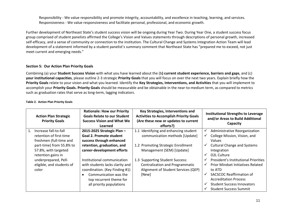Responsibility - We value responsibility and promote integrity, accountability, and excellence in teaching, learning, and services. Responsiveness - We value responsiveness and facilitate personal, professional, and economic growth.

Further development of Northeast State's student success vision will be ongoing during Year Two. During Year One, a student success focus group comprised of student panelists affirmed the College's Vision and Values statements through descriptions of personal growth, increased self-efficacy, and a sense of community or connection to the institution. The Cultural Change and Systems Integration Action Team will lead development of a statement informed by a student panelist's summary comment that Northeast State has "prepared me to exceed, not just meet current and emerging needs."

## **Section 5: Our Action Plan Priority Goals**

Combining (a) your **Student Success Vision** with what you have learned about the (b**) current student experience, barriers and gaps**, and (c) **your institutional capacities**, please outline 2-3 strategic **Priority Goals** that you will focus on over the next two years. Explain briefly how the **Priority Goals** relate to your vision and what you learned. Identify the **Key Strategies, Interventions, and Activities** that you will implement to accomplish your **Priority Goals. Priority Goals** should be measurable and be obtainable in the near-to-medium term, as compared to metrics such as graduation rates that serve as long-term, lagging indicators.

|             | <b>Action Plan Strategic</b><br><b>Priority Goals</b>                  | <b>Rationale: How our Priority</b><br><b>Goals Relate to our Student</b><br><b>Success Vision and What We</b><br>Learned                                                         | Key Strategies, Interventions and<br><b>Activities to Accomplish Priority Goals</b><br>(Are these new or updates to current<br>efforts?) |                              | <b>Institutional Strengths to Leverage</b><br>and/or Areas to Build Additional<br>Capacity                                                                                                                                          |
|-------------|------------------------------------------------------------------------|----------------------------------------------------------------------------------------------------------------------------------------------------------------------------------|------------------------------------------------------------------------------------------------------------------------------------------|------------------------------|-------------------------------------------------------------------------------------------------------------------------------------------------------------------------------------------------------------------------------------|
| $1_{\cdot}$ | Increase fall-to-fall<br>retention of first-time                       | 2015-2025 Strategic Plan-<br>Goal 2. Promote student                                                                                                                             | Identifying and enhancing student<br>1.1<br>communication methods [Update]                                                               | $\checkmark$<br>$\checkmark$ | Administrative Reorganization<br>College Mission, Vision, and                                                                                                                                                                       |
|             | freshmen (full-time and                                                | success through enhanced                                                                                                                                                         |                                                                                                                                          |                              | Values                                                                                                                                                                                                                              |
|             | part-time) from 55.8% to<br>57.8%, with targeted<br>retention gains in | retention, graduation, and<br>career-development efforts                                                                                                                         | 1.2 Promoting Strategic Enrollment<br>Management (SEM) [Update]                                                                          | $\checkmark$                 | <b>Cultural Change and Systems</b><br>Integration<br>D <sub>2</sub> L Culture                                                                                                                                                       |
|             | underprepared, Pell-<br>eligible, and students of<br>color             | Institutional communication<br>with students lacks clarity and<br>coordination. (Key Finding #1)<br>Communication was the<br>top recurrent theme for<br>all priority populations | 1.3 Supporting Student Success:<br>Centralization and Programmatic<br>Alignment of Student Services (QEP)<br>[New]                       | $\checkmark$<br>$\checkmark$ | President's Institutional Priorities<br><b>Prior Mindset Initiatives Related</b><br>to ATD<br><b>SACSCOC Reaffirmation of</b><br><b>Accreditation Process</b><br><b>Student Success Innovators</b><br><b>Student Success Summit</b> |

#### **Table 2. Action Plan Priority Goals**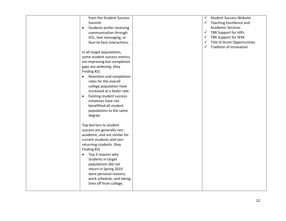| from the Student Success<br>Summit.<br>Students prefer receiving<br>$\bullet$<br>communication through<br>D2L, text messaging, or<br>face-to-face interactions.<br>In all target populations,<br>some student success metrics<br>are improving but completion<br>gaps are widening. (Key<br>Finding #2)<br>Retention and completion<br>$\bullet$<br>rates for the overall<br>college population have<br>increased at a faster rate.<br>Existing student success<br>$\bullet$<br>initiatives have not<br>benefitted all student<br>populations to the same<br>degree.<br>Top barriers to student | $\checkmark$ | <b>Student Success Website</b><br>$\checkmark$ Teaching Excellence and<br><b>Academic Services</b><br>$\checkmark$ TBR Support for HIPs<br>$\checkmark$ TBR Support for SEM<br>√ Title III Grant Opportunities<br>$\checkmark$ Tradition of Innovation |
|-------------------------------------------------------------------------------------------------------------------------------------------------------------------------------------------------------------------------------------------------------------------------------------------------------------------------------------------------------------------------------------------------------------------------------------------------------------------------------------------------------------------------------------------------------------------------------------------------|--------------|--------------------------------------------------------------------------------------------------------------------------------------------------------------------------------------------------------------------------------------------------------|
|                                                                                                                                                                                                                                                                                                                                                                                                                                                                                                                                                                                                 |              |                                                                                                                                                                                                                                                        |
|                                                                                                                                                                                                                                                                                                                                                                                                                                                                                                                                                                                                 |              |                                                                                                                                                                                                                                                        |
|                                                                                                                                                                                                                                                                                                                                                                                                                                                                                                                                                                                                 |              |                                                                                                                                                                                                                                                        |
|                                                                                                                                                                                                                                                                                                                                                                                                                                                                                                                                                                                                 |              |                                                                                                                                                                                                                                                        |
|                                                                                                                                                                                                                                                                                                                                                                                                                                                                                                                                                                                                 |              |                                                                                                                                                                                                                                                        |
|                                                                                                                                                                                                                                                                                                                                                                                                                                                                                                                                                                                                 |              |                                                                                                                                                                                                                                                        |
|                                                                                                                                                                                                                                                                                                                                                                                                                                                                                                                                                                                                 |              |                                                                                                                                                                                                                                                        |
|                                                                                                                                                                                                                                                                                                                                                                                                                                                                                                                                                                                                 |              |                                                                                                                                                                                                                                                        |
|                                                                                                                                                                                                                                                                                                                                                                                                                                                                                                                                                                                                 |              |                                                                                                                                                                                                                                                        |
|                                                                                                                                                                                                                                                                                                                                                                                                                                                                                                                                                                                                 |              |                                                                                                                                                                                                                                                        |
|                                                                                                                                                                                                                                                                                                                                                                                                                                                                                                                                                                                                 |              |                                                                                                                                                                                                                                                        |
|                                                                                                                                                                                                                                                                                                                                                                                                                                                                                                                                                                                                 |              |                                                                                                                                                                                                                                                        |
| success are generally non-                                                                                                                                                                                                                                                                                                                                                                                                                                                                                                                                                                      |              |                                                                                                                                                                                                                                                        |
| academic, and are similar for                                                                                                                                                                                                                                                                                                                                                                                                                                                                                                                                                                   |              |                                                                                                                                                                                                                                                        |
| current students and non-                                                                                                                                                                                                                                                                                                                                                                                                                                                                                                                                                                       |              |                                                                                                                                                                                                                                                        |
| returning students. (Key                                                                                                                                                                                                                                                                                                                                                                                                                                                                                                                                                                        |              |                                                                                                                                                                                                                                                        |
| Finding #3)                                                                                                                                                                                                                                                                                                                                                                                                                                                                                                                                                                                     |              |                                                                                                                                                                                                                                                        |
| Top 3 reasons why<br>$\bullet$                                                                                                                                                                                                                                                                                                                                                                                                                                                                                                                                                                  |              |                                                                                                                                                                                                                                                        |
| students in target                                                                                                                                                                                                                                                                                                                                                                                                                                                                                                                                                                              |              |                                                                                                                                                                                                                                                        |
| populations did not                                                                                                                                                                                                                                                                                                                                                                                                                                                                                                                                                                             |              |                                                                                                                                                                                                                                                        |
| return in Spring 2019                                                                                                                                                                                                                                                                                                                                                                                                                                                                                                                                                                           |              |                                                                                                                                                                                                                                                        |
| were personal reasons,                                                                                                                                                                                                                                                                                                                                                                                                                                                                                                                                                                          |              |                                                                                                                                                                                                                                                        |
| work schedule, and taking                                                                                                                                                                                                                                                                                                                                                                                                                                                                                                                                                                       |              |                                                                                                                                                                                                                                                        |
| time off from college.                                                                                                                                                                                                                                                                                                                                                                                                                                                                                                                                                                          |              |                                                                                                                                                                                                                                                        |
|                                                                                                                                                                                                                                                                                                                                                                                                                                                                                                                                                                                                 |              |                                                                                                                                                                                                                                                        |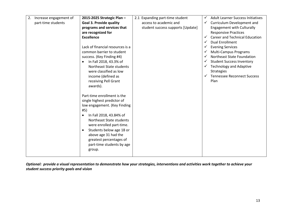| 2.<br>Increase engagement of | 2015-2025 Strategic Plan-                                                                                                                                                                                                                                                                                                            | 2.1 Expanding part-time student   | ✓            | <b>Adult Learner Success Initiatives</b> |
|------------------------------|--------------------------------------------------------------------------------------------------------------------------------------------------------------------------------------------------------------------------------------------------------------------------------------------------------------------------------------|-----------------------------------|--------------|------------------------------------------|
| part-time students           | <b>Goal 3. Provide quality</b>                                                                                                                                                                                                                                                                                                       | access to academic and            | ✓            | Curriculum Development and               |
|                              | programs and services that                                                                                                                                                                                                                                                                                                           | student success supports [Update] |              | <b>Engagement with Culturally</b>        |
|                              | are recognized for                                                                                                                                                                                                                                                                                                                   |                                   |              | <b>Responsive Practices</b>              |
|                              | <b>Excellence</b>                                                                                                                                                                                                                                                                                                                    |                                   | ✓            | <b>Career and Technical Education</b>    |
|                              |                                                                                                                                                                                                                                                                                                                                      |                                   | $\checkmark$ | <b>Dual Enrollment</b>                   |
|                              | Lack of financial resources is a                                                                                                                                                                                                                                                                                                     |                                   | ✓            | <b>Evening Services</b>                  |
|                              | common barrier to student                                                                                                                                                                                                                                                                                                            |                                   | $\checkmark$ | Multi-Campus Programs                    |
|                              | success. (Key Finding #4)                                                                                                                                                                                                                                                                                                            |                                   | $\checkmark$ | <b>Northeast State Foundation</b>        |
|                              | In Fall 2018, 43.3% of<br>$\bullet$                                                                                                                                                                                                                                                                                                  |                                   | ✓            | <b>Student Success Inventory</b>         |
|                              | Northeast State students                                                                                                                                                                                                                                                                                                             |                                   | $\checkmark$ | <b>Technology and Adaptive</b>           |
|                              | were classified as low                                                                                                                                                                                                                                                                                                               |                                   |              | <b>Strategies</b>                        |
|                              | income (defined as                                                                                                                                                                                                                                                                                                                   |                                   | $\checkmark$ | <b>Tennessee Reconnect Success</b>       |
|                              | receiving Pell Grant                                                                                                                                                                                                                                                                                                                 |                                   |              | Plan                                     |
|                              | awards).                                                                                                                                                                                                                                                                                                                             |                                   |              |                                          |
|                              | Part-time enrollment is the<br>single highest predictor of<br>low engagement. (Key Finding<br>#5)<br>In Fall 2018, 43.84% of<br>$\bullet$<br>Northeast State students<br>were enrolled part-time.<br>Students below age 18 or<br>$\bullet$<br>above age 31 had the<br>greatest percentages of<br>part-time students by age<br>group. |                                   |              |                                          |

*Optional: provide a visual representation to demonstrate how your strategies, interventions and activities work together to achieve your student success priority goals and vision*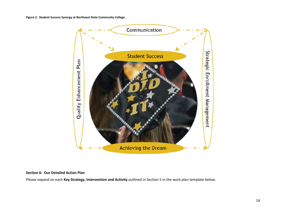**Figure 2. Student Success Synergy at Northeast State Community College**



## **Section 6: Our Detailed Action Plan**

Please expand on each **Key Strategy, Intervention and Activity** outlined in Section 5 in the work plan template below.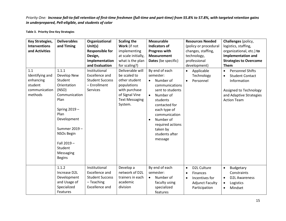# *Priority One: Increase fall-to-fall retention of first-time freshmen (full-time and part-time) from 55.8% to 57.8%, with targeted retention gains in underprepared, Pell-eligible, and students of color*

**Table 3. Priority One Key Strategies**

| <b>Key Strategies,</b><br><b>Interventions</b><br>and Activities<br>1.1<br>Identifying and | <b>Deliverables</b><br>and Timing<br>1.1.1<br>Develop New                                                                                                                              | Organizational<br>Unit(s)<br><b>Responsible for</b><br>Design,<br>Implementation<br>and Evaluation<br>Institutional<br>Excellence and | <b>Scaling the</b><br>Work (if not<br>implementing<br>at scale initially,<br>what is the plan<br>for scaling?)<br>Deliverable will<br>be scaled to | <b>Measurable</b><br><b>Indicators of</b><br><b>Progress with</b><br><b>Measurement</b><br>Dates (be specific)<br>By end of each<br>semester:                                                                                               | <b>Resources Needed</b><br>(policy or procedural<br>changes, staffing,<br>technology,<br>professional<br>development)<br>Applicable<br>$\bullet$<br>Technology | Challenges (policy,<br>logistics, staffing,<br>organizational, etc.) to<br><b>Implementation and</b><br><b>Strategies to Overcome</b><br><b>Them</b><br><b>Personnel Shifts</b><br>$\bullet$<br><b>Student Contact</b><br>$\bullet$ |
|--------------------------------------------------------------------------------------------|----------------------------------------------------------------------------------------------------------------------------------------------------------------------------------------|---------------------------------------------------------------------------------------------------------------------------------------|----------------------------------------------------------------------------------------------------------------------------------------------------|---------------------------------------------------------------------------------------------------------------------------------------------------------------------------------------------------------------------------------------------|----------------------------------------------------------------------------------------------------------------------------------------------------------------|-------------------------------------------------------------------------------------------------------------------------------------------------------------------------------------------------------------------------------------|
| enhancing<br>student<br>communication<br>methods                                           | Student<br>Orientation<br>(NSO)<br>Communication<br>Plan<br>Spring 2019 -<br>Plan<br>Development<br>Summer 2019-<br>NSOs Begin<br>Fall 2019 -<br>Student<br>Messaging<br><b>Begins</b> | <b>Student Success</b><br>- Enrollment<br>Services                                                                                    | other student<br>populations<br>with purchase<br>of Signal Vine<br><b>Text Messaging</b><br>System.                                                | Number of<br>$\bullet$<br>communications<br>sent to students<br>Number of<br>$\bullet$<br>students<br>contacted for<br>each type of<br>communication<br>Number of<br>$\bullet$<br>required actions<br>taken by<br>students after<br>message | Personnel<br>$\bullet$                                                                                                                                         | Information<br>Assigned to Technology<br>and Adaptive Strategies<br><b>Action Team</b>                                                                                                                                              |
|                                                                                            | 1.1.2<br>Increase D2L<br>Development<br>and Usage of<br>Specialized<br>Features                                                                                                        | Institutional<br>Excellence and<br><b>Student Success</b><br>- Teaching<br>Excellence and                                             | Develop a<br>network of D2L<br>trainers in each<br>academic<br>division                                                                            | By end of each<br>semester:<br>Number of<br>$\bullet$<br>faculty using<br>specialized<br>features                                                                                                                                           | D2L Culture<br>$\bullet$<br>Finances<br>$\bullet$<br>Incentives for<br>$\bullet$<br><b>Adjunct Faculty</b><br>Participation                                    | <b>Budgetary</b><br>$\bullet$<br>Constraints<br><b>D2L Awareness</b><br>$\bullet$<br>Logistics<br>$\bullet$<br>Mindset<br>$\bullet$                                                                                                 |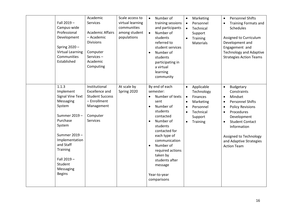|       | Fall 2019 -<br>Campus-wide<br>Professional<br>Development<br>Spring 2020 -<br><b>Virtual Learning</b><br>Communities<br>Established                                                                                  | Academic<br>Services<br><b>Academic Affairs</b><br>- Academic<br><b>Divisions</b><br>Computer<br>Services-<br>Academic<br>Computing | Scale access to<br>virtual learning<br>communities<br>among student<br>populations | Number of<br>$\bullet$<br>training sessions<br>and participants<br>Number of<br>$\bullet$<br>students<br>referred to<br>student services<br>Number of<br>$\bullet$<br>students<br>participating in<br>a virtual<br>learning<br>community                                                                                             | Marketing<br>$\bullet$<br>Personnel<br>$\bullet$<br>Technical<br>$\bullet$<br>Support<br>Training<br>$\bullet$<br>Materials                                        | <b>Personnel Shifts</b><br>$\bullet$<br><b>Training Formats and</b><br>$\bullet$<br>Schedules<br>Assigned to Curriculum<br>Development and<br>Engagement and<br><b>Technology and Adaptive</b><br><b>Strategies Action Teams</b>                                                                                         |
|-------|----------------------------------------------------------------------------------------------------------------------------------------------------------------------------------------------------------------------|-------------------------------------------------------------------------------------------------------------------------------------|------------------------------------------------------------------------------------|--------------------------------------------------------------------------------------------------------------------------------------------------------------------------------------------------------------------------------------------------------------------------------------------------------------------------------------|--------------------------------------------------------------------------------------------------------------------------------------------------------------------|--------------------------------------------------------------------------------------------------------------------------------------------------------------------------------------------------------------------------------------------------------------------------------------------------------------------------|
| 1.1.3 | Implement<br><b>Signal Vine Text</b><br>Messaging<br>System<br>Summer 2019-<br>Purchase<br>System<br>Summer 2019-<br>Implementation<br>and Staff<br>Training<br>Fall 2019 -<br>Student<br>Messaging<br><b>Begins</b> | Institutional<br><b>Excellence and</b><br><b>Student Success</b><br>- Enrollment<br>Management<br>Computer<br><b>Services</b>       | At scale by<br>Spring 2020                                                         | By end of each<br>semester:<br>Number of texts<br>$\bullet$<br>sent<br>Number of<br>$\bullet$<br>students<br>contacted<br>Number of<br>$\bullet$<br>students<br>contacted for<br>each type of<br>communication<br>Number of<br>$\bullet$<br>required actions<br>taken by<br>students after<br>message<br>Year-to-year<br>comparisons | Applicable<br>$\bullet$<br>Technology<br><b>Finances</b><br>$\bullet$<br>Marketing<br>٠<br>Personnel<br>Technical<br>$\bullet$<br>Support<br>Training<br>$\bullet$ | Budgetary<br>$\bullet$<br>Constraints<br>Mindset<br>$\bullet$<br><b>Personnel Shifts</b><br>$\bullet$<br><b>Policy Revisions</b><br>$\bullet$<br>Procedures<br>$\bullet$<br>Development<br><b>Student Contact</b><br>$\bullet$<br>Information<br>Assigned to Technology<br>and Adaptive Strategies<br><b>Action Team</b> |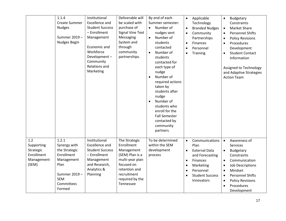|                                                                     | 1.1.4<br><b>Create Summer</b><br><b>Nudges</b><br>Summer 2019-<br>Nudges Begin                                                   | Institutional<br>Excellence and<br><b>Student Success</b><br>- Enrollment<br>Management<br>Economic and<br>Workforce<br>Development-<br>Community<br>Relations and<br>Marketing | Deliverable will<br>be scaled with<br>purchase of<br><b>Signal Vine Text</b><br>Messaging<br>System and<br>through<br>community<br>partnerships.              | By end of each<br>Summer semester:<br>Number of<br>$\bullet$<br>nudges sent<br>Number of<br>$\bullet$<br>students<br>contacted<br>Number of<br>$\bullet$<br>students<br>contacted for<br>each type of<br>nudge<br>Number of<br>$\bullet$<br>required actions<br>taken by<br>students after<br>nudge<br>Number of<br>$\bullet$<br>students who<br>enroll for the<br><b>Fall Semester</b><br>contacted by<br>community<br>partners | $\bullet$<br>$\bullet$<br>$\bullet$<br>$\bullet$<br>$\bullet$ | Applicable<br>Technology<br><b>Branded Nudges</b><br>Community<br>Partnerships<br>Finances<br>Personnel<br>Training                                    | Budgetary<br>$\bullet$<br>Constraints<br><b>Market Share</b><br>$\bullet$<br><b>Personnel Shifts</b><br>$\bullet$<br><b>Policy Revisions</b><br>$\bullet$<br>Procedures<br>$\bullet$<br>Development<br><b>Student Contact</b><br>$\bullet$<br>Information<br>Assigned to Technology<br>and Adaptive Strategies<br><b>Action Team</b> |
|---------------------------------------------------------------------|----------------------------------------------------------------------------------------------------------------------------------|---------------------------------------------------------------------------------------------------------------------------------------------------------------------------------|---------------------------------------------------------------------------------------------------------------------------------------------------------------|----------------------------------------------------------------------------------------------------------------------------------------------------------------------------------------------------------------------------------------------------------------------------------------------------------------------------------------------------------------------------------------------------------------------------------|---------------------------------------------------------------|--------------------------------------------------------------------------------------------------------------------------------------------------------|--------------------------------------------------------------------------------------------------------------------------------------------------------------------------------------------------------------------------------------------------------------------------------------------------------------------------------------|
| 1.2<br>Supporting<br>Strategic<br>Enrollment<br>Management<br>(SEM) | 1.2.1<br>Synergy with<br>the Strategic<br>Enrollment<br>Management<br>Plan<br>Summer 2019-<br><b>SEM</b><br>Committees<br>Formed | Institutional<br><b>Excellence and</b><br><b>Student Success</b><br>- Enrollment<br>Management<br>and Research,<br>Analytics &<br>Planning                                      | The Strategic<br>Enrollment<br>Management<br>(SEM) Plan is a<br>multi-year plan<br>focused on<br>retention and<br>recruitment<br>required by the<br>Tennessee | To be determined<br>within the SEM<br>development<br>process                                                                                                                                                                                                                                                                                                                                                                     | $\bullet$<br>$\bullet$<br>$\bullet$<br>$\bullet$<br>$\bullet$ | Communications<br>Plan<br><b>External Data</b><br>and Forecasting<br>Finances<br>Marketing<br>Personnel<br><b>Student Success</b><br><b>Innovators</b> | Awareness of<br>$\bullet$<br>Services<br>Budgetary<br>Constraints<br>Communication<br>$\bullet$<br>Job Descriptions<br>$\bullet$<br>Mindset<br>$\bullet$<br><b>Personnel Shifts</b><br>$\bullet$<br><b>Policy Revisions</b><br>$\bullet$<br>Procedures<br>$\bullet$<br>Development                                                   |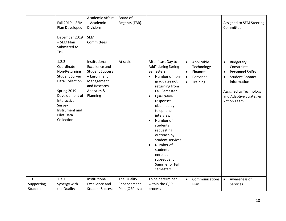|                              | Fall 2019 - SEM<br>Plan Developed<br>December 2019<br>- SEM Plan<br>Submitted to<br><b>TBR</b>                                                                                                   | <b>Academic Affairs</b><br>- Academic<br><b>Divisions</b><br><b>SEM</b><br>Committees                                                      | Board of<br>Regents (TBR).                    |                                                                                                                                                                                                                                                                                                                                                                                                                             |                                                                                                                   | Assigned to SEM Steering<br>Committee                                                                                                                                                                          |
|------------------------------|--------------------------------------------------------------------------------------------------------------------------------------------------------------------------------------------------|--------------------------------------------------------------------------------------------------------------------------------------------|-----------------------------------------------|-----------------------------------------------------------------------------------------------------------------------------------------------------------------------------------------------------------------------------------------------------------------------------------------------------------------------------------------------------------------------------------------------------------------------------|-------------------------------------------------------------------------------------------------------------------|----------------------------------------------------------------------------------------------------------------------------------------------------------------------------------------------------------------|
|                              | 1.2.2<br>Coordinate<br>Non-Returning<br><b>Student Survey</b><br>Data Collection<br>Spring 2019-<br>Development of<br>Interactive<br>Survey<br>Instrument and<br><b>Pilot Data</b><br>Collection | Institutional<br><b>Excellence and</b><br><b>Student Success</b><br>- Enrollment<br>Management<br>and Research,<br>Analytics &<br>Planning | At scale                                      | After "Last Day to<br>Add" during Spring<br>Semesters:<br>Number of non-<br>$\bullet$<br>graduates not<br>returning from<br><b>Fall Semester</b><br>Qualitative<br>$\bullet$<br>responses<br>obtained by<br>telephone<br>interview<br>Number of<br>$\bullet$<br>students<br>requesting<br>outreach by<br>student services<br>Number of<br>$\bullet$<br>students<br>enrolled in<br>subsequent<br>Summer or Fall<br>semesters | Applicable<br>$\bullet$<br>Technology<br>Finances<br>$\bullet$<br>Personnel<br>$\bullet$<br>Training<br>$\bullet$ | Budgetary<br>$\bullet$<br>Constraints<br><b>Personnel Shifts</b><br>$\bullet$<br><b>Student Contact</b><br>$\bullet$<br>Information<br>Assigned to Technology<br>and Adaptive Strategies<br><b>Action Team</b> |
| 1.3<br>Supporting<br>Student | 1.3.1<br>Synergy with<br>the Quality                                                                                                                                                             | Institutional<br><b>Excellence and</b><br><b>Student Success</b>                                                                           | The Quality<br>Enhancement<br>Plan (QEP) is a | To be determined<br>within the QEP<br>process                                                                                                                                                                                                                                                                                                                                                                               | Communications<br>$\bullet$<br>Plan                                                                               | Awareness of<br>$\bullet$<br>Services                                                                                                                                                                          |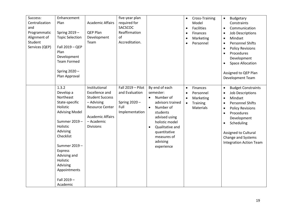| Success:<br>Centralization<br>and<br>Programmatic<br>Alignment of<br>Student<br>Services (QEP) | Enhancement<br>Plan<br>Spring 2019-<br><b>Topic Selection</b><br>Fall 2019 - QEP<br>Plan<br>Development<br><b>Team Formed</b><br>Spring 2020 -<br>Plan Approval                                                                                          | <b>Academic Affairs</b><br>QEP Plan<br>Development<br>Team                                                                                                     | five-year plan<br>required for<br>SACSCOC<br>Reaffirmation<br>of<br>Accreditation. |                                                                                                                                                                                                                                | Cross-Training<br>$\bullet$<br>Model<br><b>Facilities</b><br>$\bullet$<br>Finances<br>$\bullet$<br>Marketing<br>$\bullet$<br>Personnel<br>$\bullet$ | Budgetary<br>$\bullet$<br>Constraints<br>Communication<br>$\bullet$<br><b>Job Descriptions</b><br>$\bullet$<br>Mindset<br>$\bullet$<br><b>Personnel Shifts</b><br>$\bullet$<br><b>Policy Revisions</b><br>$\bullet$<br>Procedures<br>$\bullet$<br>Development<br><b>Space Allocation</b><br>$\bullet$<br>Assigned to QEP Plan<br>Development Team |
|------------------------------------------------------------------------------------------------|----------------------------------------------------------------------------------------------------------------------------------------------------------------------------------------------------------------------------------------------------------|----------------------------------------------------------------------------------------------------------------------------------------------------------------|------------------------------------------------------------------------------------|--------------------------------------------------------------------------------------------------------------------------------------------------------------------------------------------------------------------------------|-----------------------------------------------------------------------------------------------------------------------------------------------------|---------------------------------------------------------------------------------------------------------------------------------------------------------------------------------------------------------------------------------------------------------------------------------------------------------------------------------------------------|
|                                                                                                | 1.3.2<br>Develop a<br>Northeast<br>State-specific<br>Holistic<br><b>Advising Model</b><br>Summer 2019-<br>Holistic<br>Advising<br>Checklist<br>Summer 2019-<br>Express<br>Advising and<br>Holistic<br>Advising<br>Appointments<br>Fall 2019-<br>Academic | Institutional<br>Excellence and<br><b>Student Success</b><br>- Advising<br><b>Resource Center</b><br><b>Academic Affairs</b><br>- Academic<br><b>Divisions</b> | Fall $2019 -$ Pilot<br>and Evaluation<br>Spring 2020-<br>Full<br>Implementation    | By end of each<br>semester:<br>Number of<br>advisors trained<br>Number of<br>$\bullet$<br>students<br>advised using<br>holistic model<br>Qualitative and<br>$\bullet$<br>quantitative<br>measures of<br>advising<br>experience | Finances<br>$\bullet$<br>Personnel<br>Marketing<br><b>Training</b><br>$\bullet$<br>Materials                                                        | <b>Budget Constraints</b><br>$\bullet$<br><b>Job Descriptions</b><br>$\bullet$<br>Mindset<br>$\bullet$<br><b>Personnel Shifts</b><br>$\bullet$<br><b>Policy Revisions</b><br>$\bullet$<br>Procedures<br>$\bullet$<br>Development<br>Scheduling<br>$\bullet$<br>Assigned to Cultural<br>Change and Systems<br><b>Integration Action Team</b>       |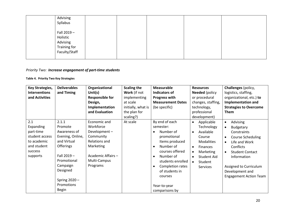| Advising<br>Syllabus                                                 |  |  |  |
|----------------------------------------------------------------------|--|--|--|
| Fall 2019 -<br>Holistic<br>Advising<br>Training for<br>Faculty/Staff |  |  |  |

# *Priority Two: Increase engagement of part-time students*

### **Table 4. Priority Two Key Strategies**

| <b>Key Strategies,</b><br><b>Interventions</b><br>and Activities                                     | <b>Deliverables</b><br>and Timing                                                                                                                                                                | Organizational<br>Unit $(s)$<br><b>Responsible for</b><br>Design,<br>Implementation<br>and Evaluation                                  | <b>Scaling the</b><br>Work (if not<br>implementing<br>at scale<br>initially, what is<br>the plan for<br>scaling?) | <b>Measurable</b><br><b>Indicators of</b><br><b>Progress with</b><br><b>Measurement Dates</b><br>(be specific)                                                                                                                                                                     | <b>Resources</b><br><b>Needed</b> (policy<br>or procedural<br>changes, staffing,<br>technology,<br>professional<br>development)                                                          | Challenges (policy,<br>logistics, staffing,<br>organizational, etc.) to<br><b>Implementation and</b><br><b>Strategies to Overcome</b><br><b>Them</b>                                                                                                         |
|------------------------------------------------------------------------------------------------------|--------------------------------------------------------------------------------------------------------------------------------------------------------------------------------------------------|----------------------------------------------------------------------------------------------------------------------------------------|-------------------------------------------------------------------------------------------------------------------|------------------------------------------------------------------------------------------------------------------------------------------------------------------------------------------------------------------------------------------------------------------------------------|------------------------------------------------------------------------------------------------------------------------------------------------------------------------------------------|--------------------------------------------------------------------------------------------------------------------------------------------------------------------------------------------------------------------------------------------------------------|
| 2.1<br>Expanding<br>part-time<br>student access<br>to academic<br>and student<br>success<br>supports | 2.1.1<br>Promote<br>Awareness of<br>Evening, Online,<br>and Virtual<br><b>Offerings</b><br>Fall $2019 -$<br>Promotional<br>Campaign<br>Designed<br>Spring $2020 -$<br>Promotions<br><b>Begin</b> | Economic and<br>Workforce<br>Development-<br>Community<br>Relations and<br>Marketing<br>Academic Affairs -<br>Multi-Campus<br>Programs | At scale                                                                                                          | By end of each<br>semester:<br>Number of<br>$\bullet$<br>promotional<br>Items produced<br>Number of<br>$\bullet$<br>courses offered<br>Number of<br>$\bullet$<br>students enrolled<br>Completion rates<br>$\bullet$<br>of students in<br>courses<br>Year-to-year<br>comparisons by | Applicable<br>$\bullet$<br>Technology<br>Available<br>$\bullet$<br>Course<br><b>Modalities</b><br><b>Finances</b><br>Marketing<br>$\bullet$<br>Student Aid<br>Student<br><b>Services</b> | Advising<br>$\bullet$<br>Budgetary<br>Constraints<br><b>Course Scheduling</b><br>Life and Work<br>$\bullet$<br>Conflicts<br><b>Student Contact</b><br>$\bullet$<br>Information<br>Assigned to Curriculum<br>Development and<br><b>Engagement Action Team</b> |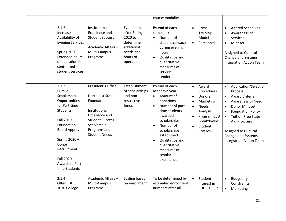|                                                                                                                                                                                                                                    |                                                                                                                                                                          |                                                                                                        | course modality                                                                                                                                                                                                                                               |                                                                                                                                                                                                            |                                                                                                                                                                                                                                                                                                                                               |
|------------------------------------------------------------------------------------------------------------------------------------------------------------------------------------------------------------------------------------|--------------------------------------------------------------------------------------------------------------------------------------------------------------------------|--------------------------------------------------------------------------------------------------------|---------------------------------------------------------------------------------------------------------------------------------------------------------------------------------------------------------------------------------------------------------------|------------------------------------------------------------------------------------------------------------------------------------------------------------------------------------------------------------|-----------------------------------------------------------------------------------------------------------------------------------------------------------------------------------------------------------------------------------------------------------------------------------------------------------------------------------------------|
| 2.1.2<br>Increase<br>Availability of<br><b>Evening Services</b><br>Spring 2020-<br><b>Extended hours</b><br>of operation for<br>centralized<br>student services                                                                    | Institutional<br><b>Excellence and</b><br><b>Student Success</b><br>Academic Affairs-<br>Multi-Campus<br>Programs                                                        | Evaluation<br>after Spring<br>2020 to<br>determine<br>additional<br>needs and<br>hours of<br>operation | By end of each<br>semester:<br>Number of<br>$\bullet$<br>student contacts<br>during evening<br>hours<br>Qualitative and<br>$\bullet$<br>quantitative<br>measures of<br>services<br>rendered                                                                   | Cross-<br>$\bullet$<br>Training<br>Model<br>Personnel<br>$\bullet$                                                                                                                                         | <b>Altered Schedules</b><br>$\bullet$<br>Awareness of<br>$\bullet$<br>Services<br>Mindset<br>$\bullet$<br>Assigned to Cultural<br>Change and Systems<br><b>Integration Action Team</b>                                                                                                                                                        |
| 2.1.3<br>Pursue<br>Scholarship<br>Opportunities<br>for Part-time<br><b>Students</b><br>Fall 2019-<br>Foundation<br><b>Board Approval</b><br>Spring 2020-<br>Donor<br>Recruitment<br>Fall 2020-<br>Awards to Part-<br>time Students | President's Office<br>Northeast State<br>Foundation<br>Institutional<br><b>Excellence and</b><br>Student Success-<br>Scholarship<br>Programs and<br><b>Student Needs</b> | Establishment<br>of scholarships<br>and non-<br>restrictive<br>funds                                   | By end of each<br>academic year:<br>Amount of<br>$\bullet$<br>donations<br>Number of part-<br>time students<br>awarded<br>scholarships<br>Number of<br>scholarships<br>established<br>Qualitative and<br>quantitative<br>measures of<br>scholar<br>experience | Award<br>$\bullet$<br>Procedures<br><b>Donors</b><br>$\bullet$<br>Marketing<br>$\bullet$<br><b>Needs</b><br>$\bullet$<br>Analysis<br>Program Cost<br><b>Breakdowns</b><br>Student<br>$\bullet$<br>Profiles | Application/Selection<br>$\bullet$<br>Process<br><b>Award Criteria</b><br>$\bullet$<br><b>Awareness of Need</b><br>$\bullet$<br>Donor Mindset<br>$\bullet$<br><b>Foundation Policy</b><br>$\bullet$<br><b>Tuition-Free State</b><br>$\bullet$<br>Aid Programs<br>Assigned to Cultural<br>Change and Systems<br><b>Integration Action Team</b> |
| 2.1.4<br>Offer EDUC<br>1030 College                                                                                                                                                                                                | Academic Affairs-<br>Multi-Campus<br>Programs                                                                                                                            | <b>Scaling based</b><br>on enrollment                                                                  | To be determined by<br>estimated enrollment<br>numbers after all                                                                                                                                                                                              | Student<br>$\bullet$<br>Interest in<br>EDUC 1030/                                                                                                                                                          | Budgetary<br>$\bullet$<br>Constraints<br>Marketing<br>$\bullet$                                                                                                                                                                                                                                                                               |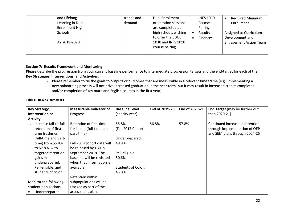| Schools | and Lifelong<br>Learning in Dual<br><b>Enrollment High</b> | trends and<br>demand | Dual Enrollment<br>orientation sessions<br>are completed at<br>high schools wishing | <b>INFS 1010</b><br>Course<br>Pairing<br>Faculty | <b>Required Minimum</b><br>Enrollment<br>Assigned to Curriculum |
|---------|------------------------------------------------------------|----------------------|-------------------------------------------------------------------------------------|--------------------------------------------------|-----------------------------------------------------------------|
|         | AY 2019-2020                                               |                      | to offer the EDUC<br>1030 and INFS 1010<br>course pairing                           | Finances                                         | Development and<br>Engagement Action Team                       |

## **Section 7: Results Framework and Monitoring**

Please describe the progression from your current baseline performance to intermediate progression targets and the end-target for each of the **Key Strategies, Interventions, and Activities**.

o Please remember to tie the goals to outputs or outcomes that are measurable in a relevant time frame (e.g., implementing a new onboarding process will not drive increased graduation in the near term, but it may result in increased credits completed and/or completion of key math and English courses in the first year).

#### **Table 5. Results Framework**

| Key Strategy,               | <b>Measurable Indicator of</b> | <b>Baseline Level</b>     | End of 2019-20 | End of 2020-21 | End Target (may be further out  |
|-----------------------------|--------------------------------|---------------------------|----------------|----------------|---------------------------------|
| Intervention or             | <b>Progress</b>                | (specify year)            |                |                | than 2020-21)                   |
| <b>Activity</b>             |                                |                           |                |                |                                 |
| Increase fall-to-fall<br>1. | Retention of first-time        | 55.8%                     | 56.8%          | 57.8%          | Continued increase in retention |
| retention of first-         | freshmen (full-time and        | (Fall 2017 Cohort)        |                |                | through implementation of QEP   |
| time freshmen               | part-time)                     |                           |                |                | and SEM plans through 2024-25   |
| (full-time and part-        |                                | Underprepared:            |                |                |                                 |
| time) from 55.8%            | Fall 2018 cohort data will     | 48.9%                     |                |                |                                 |
| to 57.8%, with              | be released by TBR in          |                           |                |                |                                 |
| targeted retention          | September 2019. The            | Pell-eligible:            |                |                |                                 |
| gains in                    | baseline will be revisited     | 50.6%                     |                |                |                                 |
| underprepared,              | when that information is       |                           |                |                |                                 |
| Pell-eligible, and          | available.                     | <b>Students of Color:</b> |                |                |                                 |
| students of color           |                                | 43.8%                     |                |                |                                 |
|                             | Retention within               |                           |                |                |                                 |
| Monitor the following       | subpopulations will be         |                           |                |                |                                 |
| student populations:        | tracked as part of the         |                           |                |                |                                 |
| Underprepared               | assessment plan.               |                           |                |                |                                 |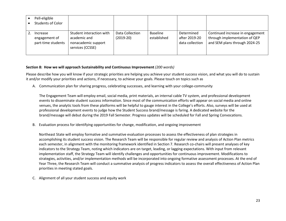| Pell-eligible<br>Students of Color              |                                                                                     |                                |                         |                                                |                                                                                                    |
|-------------------------------------------------|-------------------------------------------------------------------------------------|--------------------------------|-------------------------|------------------------------------------------|----------------------------------------------------------------------------------------------------|
| Increase<br>engagement of<br>part-time students | Student interaction with<br>academic and<br>nonacademic support<br>services (CCSSE) | Data Collection<br>$(2019-20)$ | Baseline<br>established | Determined<br>after 2019-20<br>data collection | Continued increase in engagement<br>through implementation of QEP<br>and SEM plans through 2024-25 |

## **Section 8: How we will approach Sustainability and Continuous Improvement** *(200 words)*

Please describe how you will know if your strategic priorities are helping you achieve your student success vision, and what you will do to sustain it and/or modify your priorities and actions, if necessary, to achieve your goals. Please touch on topics such as

A. Communication plan for sharing progress, celebrating successes, and learning with your college-community

The Engagement Team will employ email, social media, print materials, an internal cable TV system, and professional development events to disseminate student success information. Since most of the communication efforts will appear on social media and online venues, the analytic tools from these platforms will be helpful to gauge interest in the College's efforts. Also, surveys will be used at professional development events to judge how the Student Success brand/message is faring. A dedicated website for the brand/message will debut during the 2019 Fall Semester. Progress updates will be scheduled for Fall and Spring Convocations.

B. Evaluation process for identifying opportunities for change, modification, and ongoing improvement

Northeast State will employ formative and summative evaluation processes to assess the effectiveness of plan strategies in accomplishing its student success vision. The Research Team will be responsible for regular review and analysis of Action Plan metrics each semester, in alignment with the monitoring framework identified in Section 7. Research co-chairs will present analyses of key indicators to the Strategy Team, noting which indicators are on target, leading, or lagging expectations. With input from relevant implementation staff, the Strategy Team will identify challenges and opportunities for continuous improvement. Modifications to strategies, activities, and/or implementation methods will be incorporated into ongoing formative assessment processes. At the end of Year Three, the Research Team will conduct a summative analysis of progress indicators to assess the overall effectiveness of Action Plan priorities in meeting stated goals.

C. Alignment of all your student success and equity work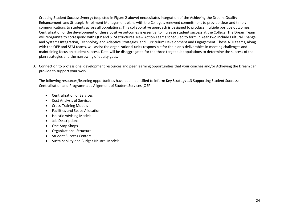Creating Student Success Synergy (depicted in Figure 2 above) necessitates integration of the Achieving the Dream, Quality Enhancement, and Strategic Enrollment Management plans with the College's renewed commitment to provide clear and timely communications to students across all populations. This collaborative approach is designed to produce multiple positive outcomes. Centralization of the development of these positive outcomes is essential to increase student success at the College. The Dream Team will reorganize to correspond with QEP and SEM structures. New Action Teams scheduled to form in Year Two include Cultural Change and Systems Integration, Technology and Adaptive Strategies, and Curriculum Development and Engagement. These ATD teams, along with the QEP and SEM teams, will assist the organizational units responsible for the plan's deliverables in meeting challenges and maintaining focus on student success. Data will be disaggregated for the three target subpopulations to determine the success of the plan strategies and the narrowing of equity gaps.

D. Connection to professional development resources and peer learning opportunities that your coaches and/or Achieving the Dream can provide to support your work

The following resources/learning opportunities have been identified to inform Key Strategy 1.3 Supporting Student Success: Centralization and Programmatic Alignment of Student Services (QEP):

- Centralization of Services
- Cost Analysis of Services
- Cross-Training Models
- Facilities and Space Allocation
- Holistic Advising Models
- Job Descriptions
- One-Stop Shops
- Organizational Structure
- Student Success Centers
- Sustainability and Budget-Neutral Models